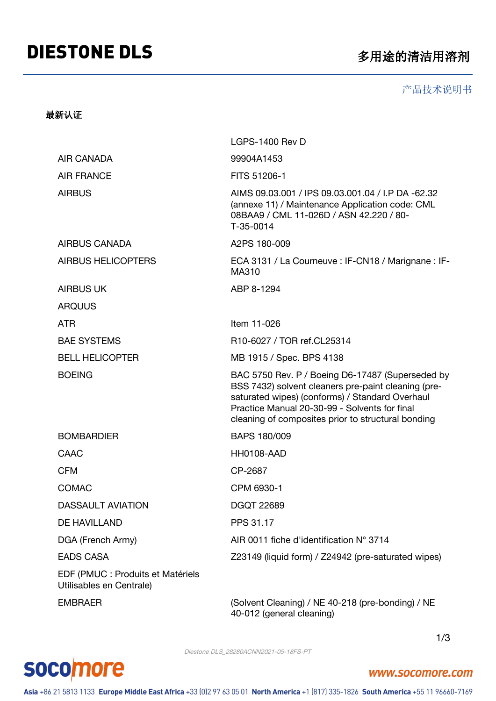# DIESTONE DLS **Example 2 and Automation SET ONE DLS**

#### 产品技术说明书

### 最新认证

|                                                               | LGPS-1400 Rev D                                                                                                                                                                                                                                                   |  |
|---------------------------------------------------------------|-------------------------------------------------------------------------------------------------------------------------------------------------------------------------------------------------------------------------------------------------------------------|--|
| <b>AIR CANADA</b>                                             | 99904A1453                                                                                                                                                                                                                                                        |  |
| <b>AIR FRANCE</b>                                             | FITS 51206-1                                                                                                                                                                                                                                                      |  |
| <b>AIRBUS</b>                                                 | AIMS 09.03.001 / IPS 09.03.001.04 / I.P DA -62.32<br>(annexe 11) / Maintenance Application code: CML<br>08BAA9 / CML 11-026D / ASN 42.220 / 80-<br>T-35-0014                                                                                                      |  |
| AIRBUS CANADA                                                 | A2PS 180-009                                                                                                                                                                                                                                                      |  |
| <b>AIRBUS HELICOPTERS</b>                                     | ECA 3131 / La Courneuve : IF-CN18 / Marignane : IF-<br>MA310                                                                                                                                                                                                      |  |
| <b>AIRBUS UK</b>                                              | ABP 8-1294                                                                                                                                                                                                                                                        |  |
| <b>ARQUUS</b>                                                 |                                                                                                                                                                                                                                                                   |  |
| <b>ATR</b>                                                    | Item 11-026                                                                                                                                                                                                                                                       |  |
| <b>BAE SYSTEMS</b>                                            | R10-6027 / TOR ref.CL25314                                                                                                                                                                                                                                        |  |
| <b>BELL HELICOPTER</b>                                        | MB 1915 / Spec. BPS 4138                                                                                                                                                                                                                                          |  |
| <b>BOEING</b>                                                 | BAC 5750 Rev. P / Boeing D6-17487 (Superseded by<br>BSS 7432) solvent cleaners pre-paint cleaning (pre-<br>saturated wipes) (conforms) / Standard Overhaul<br>Practice Manual 20-30-99 - Solvents for final<br>cleaning of composites prior to structural bonding |  |
| <b>BOMBARDIER</b>                                             | BAPS 180/009                                                                                                                                                                                                                                                      |  |
| CAAC                                                          | <b>HH0108-AAD</b>                                                                                                                                                                                                                                                 |  |
| <b>CFM</b>                                                    | CP-2687                                                                                                                                                                                                                                                           |  |
| <b>COMAC</b>                                                  | CPM 6930-1                                                                                                                                                                                                                                                        |  |
| <b>DASSAULT AVIATION</b>                                      | <b>DGQT 22689</b>                                                                                                                                                                                                                                                 |  |
| DE HAVILLAND                                                  | PPS 31.17                                                                                                                                                                                                                                                         |  |
| DGA (French Army)                                             | AIR 0011 fiche d'identification N° 3714                                                                                                                                                                                                                           |  |
| <b>EADS CASA</b>                                              | Z23149 (liquid form) / Z24942 (pre-saturated wipes)                                                                                                                                                                                                               |  |
| EDF (PMUC : Produits et Matériels<br>Utilisables en Centrale) |                                                                                                                                                                                                                                                                   |  |
| <b>EMBRAER</b>                                                | (Solvent Cleaning) / NE 40-218 (pre-bonding) / NE                                                                                                                                                                                                                 |  |

40-012 (general cleaning)

1/3

Diestone DLS\_28280ACNN2021-05-18FS-PT

# **socomore**

### www.socomore.com

Asia +86 21 5813 1133 Europe Middle East Africa +33 (0)2 97 63 05 01 North America +1 (817) 335-1826 South America +55 11 96660-7169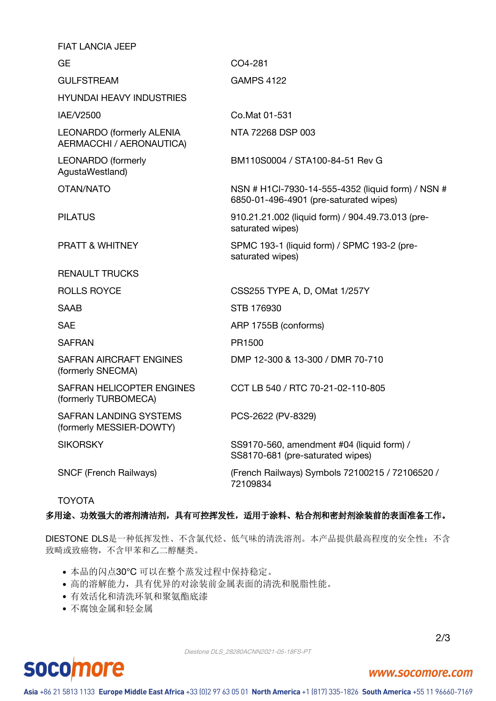| <b>FIAT LANCIA JEEP</b>                                      |                                                                                             |
|--------------------------------------------------------------|---------------------------------------------------------------------------------------------|
| <b>GE</b>                                                    | CO4-281                                                                                     |
| <b>GULFSTREAM</b>                                            | <b>GAMPS 4122</b>                                                                           |
| <b>HYUNDAI HEAVY INDUSTRIES</b>                              |                                                                                             |
| IAE/V2500                                                    | Co.Mat 01-531                                                                               |
| <b>LEONARDO (formerly ALENIA</b><br>AERMACCHI / AERONAUTICA) | NTA 72268 DSP 003                                                                           |
| <b>LEONARDO</b> (formerly<br>AgustaWestland)                 | BM110S0004 / STA100-84-51 Rev G                                                             |
| OTAN/NATO                                                    | NSN # H1Cl-7930-14-555-4352 (liquid form) / NSN #<br>6850-01-496-4901 (pre-saturated wipes) |
| <b>PILATUS</b>                                               | 910.21.21.002 (liquid form) / 904.49.73.013 (pre-<br>saturated wipes)                       |
| <b>PRATT &amp; WHITNEY</b>                                   | SPMC 193-1 (liquid form) / SPMC 193-2 (pre-<br>saturated wipes)                             |
| <b>RENAULT TRUCKS</b>                                        |                                                                                             |
| <b>ROLLS ROYCE</b>                                           | CSS255 TYPE A, D, OMat 1/257Y                                                               |
| <b>SAAB</b>                                                  | STB 176930                                                                                  |
| <b>SAE</b>                                                   | ARP 1755B (conforms)                                                                        |
| <b>SAFRAN</b>                                                | PR1500                                                                                      |
| SAFRAN AIRCRAFT ENGINES<br>(formerly SNECMA)                 | DMP 12-300 & 13-300 / DMR 70-710                                                            |
| SAFRAN HELICOPTER ENGINES<br>(formerly TURBOMECA)            | CCT LB 540 / RTC 70-21-02-110-805                                                           |
| SAFRAN LANDING SYSTEMS<br>(formerly MESSIER-DOWTY)           | PCS-2622 (PV-8329)                                                                          |
| <b>SIKORSKY</b>                                              | SS9170-560, amendment #04 (liquid form) /<br>SS8170-681 (pre-saturated wipes)               |
| <b>SNCF (French Railways)</b>                                | (French Railways) Symbols 72100215 / 72106520 /<br>72109834                                 |

TOYOTA

#### 多用途、功效强大的溶剂清洁剂,具有可控挥发性,适用于涂料、粘合剂和密封剂涂装前的表面准备工作。

DIESTONE DLS是一种低挥发性、不含氯代烃、低气味的清洗溶剂。本产品提供最高程度的安全性:不含 致畸或致癌物,不含甲苯和乙二醇醚类。

- 本品的闪点30°C,可以在整个蒸发过程中保持稳定。
- 高的溶解能力,具有优异的对涂装前金属表面的清洗和脱脂性能。
- 有效活化和清洗环氧和聚氨酯底漆
- 不腐蚀金属和轻金属

Diestone DLS\_28280ACNN2021-05-18FS-PT

#### 2/3

### **SOCO** more

### www.socomore.com

Asia +86 21 5813 1133 Europe Middle East Africa +33 (0)2 97 63 05 01 North America +1 (817) 335-1826 South America +55 11 96660-7169